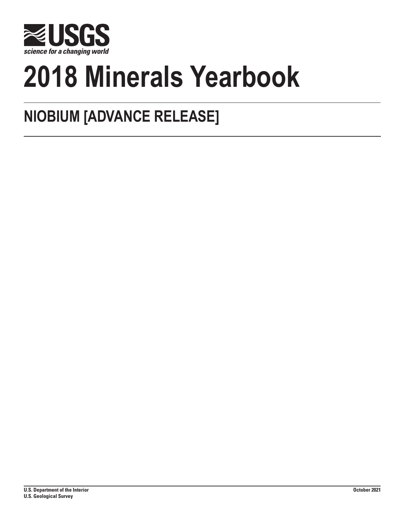

# **2018 Minerals Yearbook**

# **NIOBIUM [ADVANCE RELEASE]**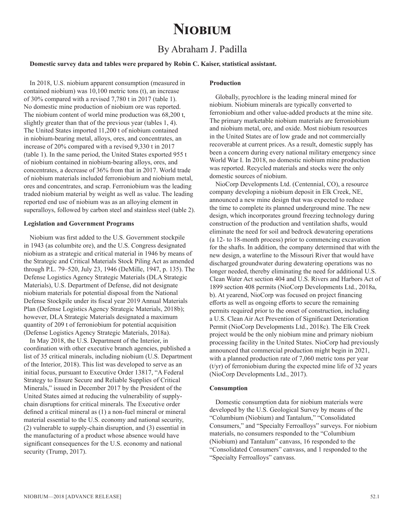# **Niobium**

# By Abraham J. Padilla

# **Domestic survey data and tables were prepared by Robin C. Kaiser, statistical assistant.**

In 2018, U.S. niobium apparent consumption (measured in contained niobium) was 10,100 metric tons (t), an increase of 30% compared with a revised 7,780 t in 2017 (table 1). No domestic mine production of niobium ore was reported. The niobium content of world mine production was 68,200 t, slightly greater than that of the previous year (tables 1, 4). The United States imported 11,200 t of niobium contained in niobium-bearing metal, alloys, ores, and concentrates, an increase of 20% compared with a revised 9,330 t in 2017 (table 1). In the same period, the United States exported 955 t of niobium contained in niobium-bearing alloys, ores, and concentrates, a decrease of 36% from that in 2017. World trade of niobium materials included ferroniobium and niobium metal, ores and concentrates, and scrap. Ferroniobium was the leading traded niobium material by weight as well as value. The leading reported end use of niobium was as an alloying element in superalloys, followed by carbon steel and stainless steel (table 2).

#### **Legislation and Government Programs**

Niobium was first added to the U.S. Government stockpile in 1943 (as columbite ore), and the U.S. Congress designated niobium as a strategic and critical material in 1946 by means of the Strategic and Critical Materials Stock Piling Act as amended through P.L. 79–520, July 23, 1946 (DeMille, 1947, p. 135). The Defense Logistics Agency Strategic Materials (DLA Strategic Materials), U.S. Department of Defense, did not designate niobium materials for potential disposal from the National Defense Stockpile under its fiscal year 2019 Annual Materials Plan (Defense Logistics Agency Strategic Materials, 2018b); however, DLA Strategic Materials designated a maximum quantity of 209 t of ferroniobium for potential acquisition (Defense Logistics Agency Strategic Materials, 2018a).

In May 2018, the U.S. Department of the Interior, in coordination with other executive branch agencies, published a list of 35 critical minerals, including niobium (U.S. Department of the Interior, 2018). This list was developed to serve as an initial focus, pursuant to Executive Order 13817, "A Federal Strategy to Ensure Secure and Reliable Supplies of Critical Minerals," issued in December 2017 by the President of the United States aimed at reducing the vulnerability of supplychain disruptions for critical minerals. The Executive order defined a critical mineral as (1) a non-fuel mineral or mineral material essential to the U.S. economy and national security, (2) vulnerable to supply-chain disruption, and (3) essential in the manufacturing of a product whose absence would have significant consequences for the U.S. economy and national security (Trump, 2017).

#### **Production**

Globally, pyrochlore is the leading mineral mined for niobium. Niobium minerals are typically converted to ferroniobium and other value-added products at the mine site. The primary marketable niobium materials are ferroniobium and niobium metal, ore, and oxide. Most niobium resources in the United States are of low grade and not commercially recoverable at current prices. As a result, domestic supply has been a concern during every national military emergency since World War I. In 2018, no domestic niobium mine production was reported. Recycled materials and stocks were the only domestic sources of niobium.

NioCorp Developments Ltd. (Centennial, CO), a resource company developing a niobium deposit in Elk Creek, NE, announced a new mine design that was expected to reduce the time to complete its planned underground mine. The new design, which incorporates ground freezing technology during construction of the production and ventilation shafts, would eliminate the need for soil and bedrock dewatering operations (a 12- to 18-month process) prior to commencing excavation for the shafts. In addition, the company determined that with the new design, a waterline to the Missouri River that would have discharged groundwater during dewatering operations was no longer needed, thereby eliminating the need for additional U.S. Clean Water Act section 404 and U.S. Rivers and Harbors Act of 1899 section 408 permits (NioCorp Developments Ltd., 2018a, b). At yearend, NioCorp was focused on project financing efforts as well as ongoing efforts to secure the remaining permits required prior to the onset of construction, including a U.S. Clean Air Act Prevention of Significant Deterioration Permit (NioCorp Developments Ltd., 2018c). The Elk Creek project would be the only niobium mine and primary niobium processing facility in the United States. NioCorp had previously announced that commercial production might begin in 2021, with a planned production rate of 7,060 metric tons per year (t/yr) of ferroniobium during the expected mine life of 32 years (NioCorp Developments Ltd., 2017).

#### **Consumption**

Domestic consumption data for niobium materials were developed by the U.S. Geological Survey by means of the "Columbium (Niobium) and Tantalum," "Consolidated Consumers," and "Specialty Ferroalloys" surveys. For niobium materials, no consumers responded to the "Columbium (Niobium) and Tantalum" canvass, 16 responded to the "Consolidated Consumers" canvass, and 1 responded to the "Specialty Ferroalloys" canvass.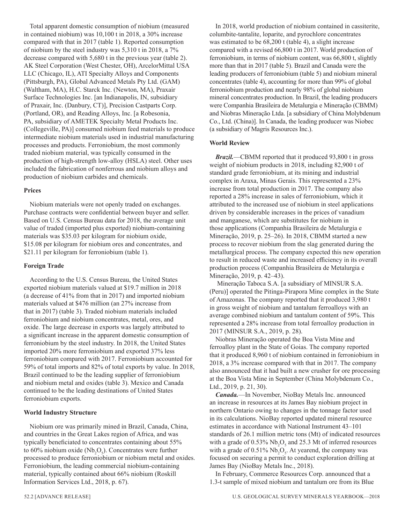Total apparent domestic consumption of niobium (measured in contained niobium) was 10,100 t in 2018, a 30% increase compared with that in 2017 (table 1). Reported consumption of niobium by the steel industry was 5,310 t in 2018, a 7% decrease compared with 5,680 t in the previous year (table 2). AK Steel Corporation (West Chester, OH), ArcelorMittal USA LLC (Chicago, IL), ATI Specialty Alloys and Components (Pittsburgh, PA), Global Advanced Metals Pty Ltd. (GAM) (Waltham, MA), H.C. Starck Inc. (Newton, MA), Praxair Surface Technologies Inc. [an Indianapolis, IN, subsidiary of Praxair, Inc. (Danbury, CT)], Precision Castparts Corp. (Portland, OR), and Reading Alloys, Inc. [a Robesonia, PA, subsidiary of AMETEK Specialty Metal Products Inc. (Collegeville, PA)] consumed niobium feed materials to produce intermediate niobium materials used in industrial manufacturing processes and products. Ferroniobium, the most commonly traded niobium material, was typically consumed in the production of high-strength low-alloy (HSLA) steel. Other uses included the fabrication of nonferrous and niobium alloys and production of niobium carbides and chemicals.

### **Prices**

Niobium materials were not openly traded on exchanges. Purchase contracts were confidential between buyer and seller. Based on U.S. Census Bureau data for 2018, the average unit value of traded (imported plus exported) niobium-containing materials was \$35.03 per kilogram for niobium oxide, \$15.08 per kilogram for niobium ores and concentrates, and \$21.11 per kilogram for ferroniobium (table 1).

#### **Foreign Trade**

According to the U.S. Census Bureau, the United States exported niobium materials valued at \$19.7 million in 2018 (a decrease of 41% from that in 2017) and imported niobium materials valued at \$476 million (an 27% increase from that in 2017) (table 3). Traded niobium materials included ferroniobium and niobium concentrates, metal, ores, and oxide. The large decrease in exports was largely attributed to a significant increase in the apparent domestic consumption of ferroniobium by the steel industry. In 2018, the United States imported 20% more ferroniobium and exported 37% less ferroniobium compared with 2017. Ferroniobium accounted for 59% of total imports and 82% of total exports by value. In 2018, Brazil continued to be the leading supplier of ferroniobium and niobium metal and oxides (table 3). Mexico and Canada continued to be the leading destinations of United States ferroniobium exports.

### **World Industry Structure**

Niobium ore was primarily mined in Brazil, Canada, China, and countries in the Great Lakes region of Africa, and was typically beneficiated to concentrates containing about 55% to 60% niobium oxide ( $Nb<sub>2</sub>O<sub>5</sub>$ ). Concentrates were further processed to produce ferroniobium or niobium metal and oxides. Ferroniobium, the leading commercial niobium-containing material, typically contained about 66% niobium (Roskill Information Services Ltd., 2018, p. 67).

In 2018, world production of niobium contained in cassiterite, columbite-tantalite, loparite, and pyrochlore concentrates was estimated to be 68,200 t (table 4), a slight increase compared with a revised 66,800 t in 2017. World production of ferroniobium, in terms of niobium content, was 66,800 t, slightly more than that in 2017 (table 5). Brazil and Canada were the leading producers of ferroniobium (table 5) and niobium mineral concentrates (table 4), accounting for more than 99% of global ferroniobium production and nearly 98% of global niobium mineral concentrates production. In Brazil, the leading producers were Companhia Brasileira de Metalurgia e Mineração (CBMM) and Niobras Mineração Ltda. [a subsidiary of China Molybdenum Co., Ltd. (China)]. In Canada, the leading producer was Niobec (a subsidiary of Magris Resources Inc.).

#### **World Review**

*Brazil.*—CBMM reported that it produced 93,800 t in gross weight of niobium products in 2018, including 82,900 t of standard grade ferroniobium, at its mining and industrial complex in Araxa, Minas Gerais. This represented a 23% increase from total production in 2017. The company also reported a 28% increase in sales of ferroniobium, which it attributed to the increased use of niobium in steel applications driven by considerable increases in the prices of vanadium and manganese, which are substitutes for niobium in those applications (Companhia Brasileira de Metalurgia e Mineração, 2019, p. 25–26). In 2018, CBMM started a new process to recover niobium from the slag generated during the metallurgical process. The company expected this new operation to result in reduced waste and increased efficiency in its overall production process (Companhia Brasileira de Metalurgia e Mineração, 2019, p. 42–43).

Mineração Taboca S.A. [a subsidiary of MINSUR S.A. (Peru)] operated the Pitinga-Pirapora Mine complex in the State of Amazonas. The company reported that it produced 3,980 t in gross weight of niobium and tantalum ferroalloys with an average combined niobium and tantalum content of 59%. This represented a 28% increase from total ferroalloy production in 2017 (MINSUR S.A., 2019, p. 28).

Niobras Mineração operated the Boa Vista Mine and ferroalloy plant in the State of Goias. The company reported that it produced 8,960 t of niobium contained in ferroniobium in 2018, a 3% increase compared with that in 2017. The company also announced that it had built a new crusher for ore processing at the Boa Vista Mine in September (China Molybdenum Co., Ltd., 2019, p. 21, 30).

*Canada.*—In November, NioBay Metals Inc. announced an increase in resources at its James Bay niobium project in northern Ontario owing to changes in the tonnage factor used in its calculations. NioBay reported updated mineral resource estimates in accordance with National Instrument 43–101 standards of 26.1 million metric tons (Mt) of indicated resources with a grade of  $0.53\%$  Nb<sub>2</sub>O<sub>5</sub> and 25.3 Mt of inferred resources with a grade of  $0.51\%$  Nb<sub>2</sub>O<sub>5</sub>. At yearend, the company was focused on securing a permit to conduct exploration drilling at James Bay (NioBay Metals Inc., 2018).

In February, Commerce Resources Corp. announced that a 1.3-t sample of mixed niobium and tantalum ore from its Blue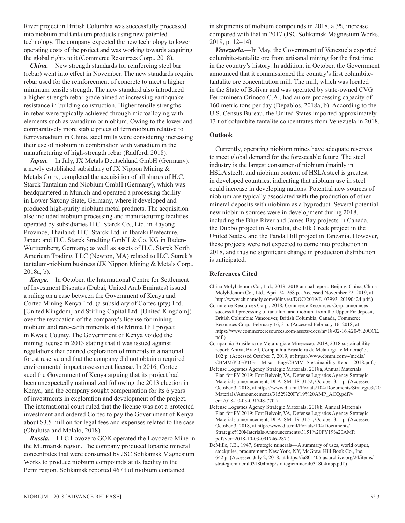River project in British Columbia was successfully processed into niobium and tantalum products using new patented technology. The company expected the new technology to lower operating costs of the project and was working towards acquiring the global rights to it (Commerce Resources Corp., 2018).

*China.*—New strength standards for reinforcing steel bar (rebar) went into effect in November. The new standards require rebar used for the reinforcement of concrete to meet a higher minimum tensile strength. The new standard also introduced a higher strength rebar grade aimed at increasing earthquake resistance in building construction. Higher tensile strengths in rebar were typically achieved through microalloying with elements such as vanadium or niobium. Owing to the lower and comparatively more stable prices of ferroniobium relative to ferrovanadium in China, steel mills were considering increasing their use of niobium in combination with vanadium in the manufacturing of high-strength rebar (Radford, 2018).

*Japan.*—In July, JX Metals Deutschland GmbH (Germany), a newly established subsidiary of JX Nippon Mining & Metals Corp., completed the acquisition of all shares of H.C. Starck Tantalum and Niobium GmbH (Germany), which was headquartered in Munich and operated a processing facility in Lower Saxony State, Germany, where it developed and produced high-purity niobium metal products. The acquisition also included niobium processing and manufacturing facilities operated by subsidiaries H.C. Starck Co., Ltd. in Rayong Province, Thailand; H.C. Starck Ltd. in Ibaraki Prefecture, Japan; and H.C. Starck Smelting GmbH & Co. KG in Baden-Wurttemberg, Germany; as well as assets of H.C. Starck North American Trading, LLC (Newton, MA) related to H.C. Starck's tantalum-niobium business (JX Nippon Mining & Metals Corp., 2018a, b).

*Kenya.*—In October, the International Centre for Settlement of Investment Disputes (Dubai, United Arab Emirates) issued a ruling on a case between the Government of Kenya and Cortec Mining Kenya Ltd. (a subsidiary of Cortec (pty) Ltd. [United Kingdom] and Stirling Capital Ltd. [United Kingdom]) over the revocation of the company's license for mining niobium and rare-earth minerals at its Mrima Hill project in Kwale County. The Government of Kenya voided the mining license in 2013 stating that it was issued against regulations that banned exploration of minerals in a national forest reserve and that the company did not obtain a required environmental impact assessment license. In 2016, Cortec sued the Government of Kenya arguing that its project had been unexpectedly nationalized following the 2013 election in Kenya, and the company sought compensation for its 6 years of investments in exploration and development of the project. The international court ruled that the license was not a protected investment and ordered Cortec to pay the Government of Kenya about \$3.5 million for legal fees and expenses related to the case (Obulutsa and Malalo, 2018).

*Russia.*—LLC Lovozero GOK operated the Lovozero Mine in the Murmansk region. The company produced loparite mineral concentrates that were consumed by JSC Solikamsk Magnesium Works to produce niobium compounds at its facility in the Perm region. Solikamsk reported 467 t of niobium contained

in shipments of niobium compounds in 2018, a 3% increase compared with that in 2017 (JSC Solikamsk Magnesium Works, 2019, p. 12–14).

*Venezuela.*—In May, the Government of Venezuela exported columbite-tantalite ore from artisanal mining for the first time in the country's history. In addition, in October, the Government announced that it commissioned the country's first columbitetantalite ore concentration mill. The mill, which was located in the State of Bolivar and was operated by state-owned CVG Ferrominera Orinoco C.A., had an ore-processing capacity of 160 metric tons per day (Depablos, 2018a, b). According to the U.S. Census Bureau, the United States imported approximately 13 t of columbite-tantalite concentrates from Venezuela in 2018.

# **Outlook**

Currently, operating niobium mines have adequate reserves to meet global demand for the foreseeable future. The steel industry is the largest consumer of niobium (mainly in HSLA steel), and niobium content of HSLA steel is greatest in developed countries, indicating that niobium use in steel could increase in developing nations. Potential new sources of niobium are typically associated with the production of other mineral deposits with niobium as a byproduct. Several potential new niobium sources were in development during 2018, including the Blue River and James Bay projects in Canada, the Dubbo project in Australia, the Elk Creek project in the United States, and the Panda Hill project in Tanzania. However, these projects were not expected to come into production in 2018, and thus no significant change in production distribution is anticipated.

### **References Cited**

- China Molybdenum Co., Ltd., 2019, 2018 annual report: Beijing, China, China Molybdenum Co., Ltd., April 24, 268 p. (Accessed November 22, 2019, at http://www.chinamoly.com/06invest/DOC/2019/E\_03993\_20190424.pdf.)
- Commerce Resources Corp., 2018, Commerce Resources Corp. announces successful processing of tantalum and niobium from the Upper Fir deposit, British Columbia: Vancouver, British Columbia, Canada, Commerce Resources Corp., February 16, 3 p. (Accessed February 16, 2018, at https://www.commerceresources.com/assets/docs/nr/18-02-16%20-%20CCE. pdf.)
- Companhia Brasileira de Metalurgia e Mineração, 2019, 2018 sustainability report: Araxa, Brazil, Companhia Brasileira de Metalurgia e Mineração, 102 p. (Accessed October 7, 2019, at https://www.cbmm.com/-/media/ CBMM/PDF/PDFs---Misc---Eng/CBMM\_Sustainability-Report-2018.pdf.)
- Defense Logistics Agency Strategic Materials, 2018a, Annual Materials Plan for FY 2019: Fort Belvoir, VA, Defense Logistics Agency Strategic Materials announcement, DLA–SM–18–3152, October 3, 1 p. (Accessed October 3, 2018, at https://www.dla.mil/Portals/104/Documents/Strategic%20 Materials/Announcements/3152%20FY19%20AMP\_ACQ.pdf?v er=2018-10-03-091748-770.)
- Defense Logistics Agency Strategic Materials, 2018b, Annual Materials Plan for FY 2019: Fort Belvoir, VA, Defense Logistics Agency Strategic Materials announcement, DLA–SM–19–3151, October 3, 1 p. (Accessed October 3, 2018, at http://www.dla.mil/Portals/104/Documents/ Strategic%20Materials/Announcements/3151%20FY19%20AMP. pdf?ver=2018-10-03-091746-287.)
- DeMille, J.B., 1947, Strategic minerals—A summary of uses, world output, stockpiles, procurement: New York, NY, McGraw-Hill Book Co., Inc., 642 p. (Accessed July 2, 2018, at https://ia801405.us.archive.org/24/items/ strategicmineral031804mbp/strategicmineral031804mbp.pdf.)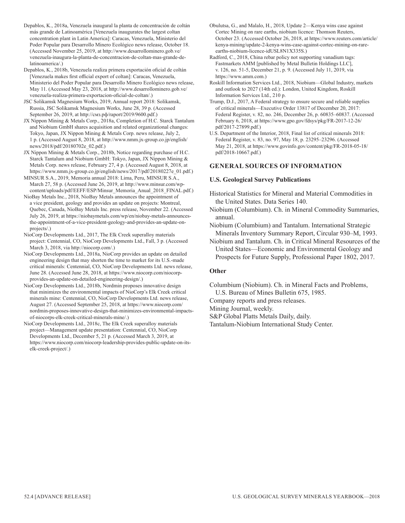- Depablos, K., 2018a, Venezuela inaugural la planta de concentración de coltán más grande de Latinoamérica [Venezuela inaugurates the largest coltan concentration plant in Latin America]: Caracas, Venezuela, Ministerio del Poder Popular para Desarrollo Minero Ecológico news release, October 18. (Accessed November 25, 2019, at http://www.desarrollominero.gob.ve/ venezuela-inaugura-la-planta-de-concentracion-de-coltan-mas-grande-delatinoamerica/.)
- Depablos, K., 2018b, Venezuela realiza primera exportación oficial de coltán [Venezuela makes first official export of coltan]: Caracas, Venezuela, Ministerio del Poder Popular para Desarrollo Minero Ecológico news release, May 11. (Accessed May 23, 2018, at http://www.desarrollominero.gob.ve/ venezuela-realiza-primera-exportacion-oficial-de-coltan/.)
- JSC Solikamsk Magnesium Works, 2019, Annual report 2018: Solikamsk, Russia, JSC Solikamsk Magnesium Works, June 28, 39 p. (Accessed September 26, 2019, at http://смз.рф/raport/2019/9600.pdf.)
- JX Nippon Mining & Metals Corp., 2018a, Completion of H.C. Starck Tantalum and Niobium GmbH shares acquisition and related organizational changes: Tokyo, Japan, JX Nippon Mining & Metals Corp. news release, July 2, 1 p. (Accessed August 8, 2018, at http://www.nmm.jx-group.co.jp/english/ news/2018/pdf/20180702e\_02.pdf.)
- JX Nippon Mining & Metals Corp., 2018b, Notice regarding purchase of H.C. Starck Tantalum and Niobium GmbH: Tokyo, Japan, JX Nippon Mining & Metals Corp. news release, February 27, 4 p. (Accessed August 8, 2018, at https://www.nmm.jx-group.co.jp/english/news/2017/pdf/20180227e\_01.pdf.)
- MINSUR S.A., 2019, Memoria annual 2018: Lima, Peru, MINSUR S.A., March 27, 58 p. (Accessed June 26, 2019, at http://www.minsur.com/wpcontent/uploads/pdf/EEFF/ESP/Minsur\_Memoria\_Anual\_2018\_FINAL.pdf.)
- NioBay Metals Inc., 2018, NioBay Metals announces the appointment of a vice president, geology and provides an update on projects: Montreal, Quebec, Canada, NioBay Metals Inc. press release, November 22. (Accessed July 26, 2019, at https://niobaymetals.com/wp/en/niobay-metals-announcesthe-appointment-of-a-vice-president-geology-and-provides-an-update-onprojects/.)
- NioCorp Developments Ltd., 2017, The Elk Creek superalloy materials project: Centennial, CO, NioCorp Developments Ltd., Fall, 3 p. (Accessed March 3, 2018, via http://niocorp.com/.)
- NioCorp Developments Ltd., 2018a, NioCorp provides an update on detailed engineering design that may shorten the time to market for its U.S.-made critical minerals: Centennial, CO, NioCorp Developments Ltd. news release, June 28. (Accessed June 28, 2018, at https://www.niocorp.com/niocorpprovides-an-update-on-detailed-engineering-design/.)
- NioCorp Developments Ltd., 2018b, Nordmin proposes innovative design that minimizes the environmental impacts of NioCorp's Elk Creek critical minerals mine: Centennial, CO, NioCorp Developments Ltd. news release, August 27. (Accessed September 25, 2018, at https://www.niocorp.com/ nordmin-proposes-innovative-design-that-minimizes-environmental-impactsof-niocorps-elk-creek-critical-minerals-mine/.)
- NioCorp Developments Ltd., 2018c, The Elk Creek superalloy materials project—Management update presentation: Centennial, CO, NioCorp Developments Ltd., December 5, 21 p. (Accessed March 3, 2019, at https://www.niocorp.com/niocorp-leadership-provides-public-update-on-itselk-creek-project/.)
- Obulutsa, G., and Malalo, H., 2018, Update 2—Kenya wins case against Cortec Mining on rare earths, niobium licence: Thomson Reuters, October 23. (Accessed October 26, 2018, at https://www.reuters.com/article/ kenya-mining/update-2-kenya-wins-case-against-cortec-mining-on-rareearths-niobium-licence-idUSL8N1X335S.)
- Radford, C., 2018, China rebar policy not supporting vanadium tags: Fastmarkets AMM [published by Metal Bulletin Holdings LLC], v. 126, no. 51-5, December 21, p. 9. (Accessed July 11, 2019, via https://www.amm.com.)
- Roskill Information Services Ltd., 2018, Niobium—Global Industry, markets and outlook to 2027 (14th ed.): London, United Kingdom, Roskill Information Services Ltd., 210 p.
- Trump, D.J., 2017, A Federal strategy to ensure secure and reliable supplies of critical minerals—Executive Order 13817 of December 20, 2017: Federal Register, v. 82, no. 246, December 26, p. 60835–60837. (Accessed February 6, 2018, at https://www.gpo.gov/fdsys/pkg/FR-2017-12-26/ pdf/2017-27899.pdf.)
- U.S. Department of the Interior, 2018, Final list of critical minerals 2018: Federal Register, v. 83, no. 97, May 18, p. 23295–23296. (Accessed May 21, 2018, at https://www.govinfo.gov/content/pkg/FR-2018-05-18/ pdf/2018-10667.pdf.)

# **GENERAL SOURCES OF INFORMATION**

# **U.S. Geological Survey Publications**

- Historical Statistics for Mineral and Material Commodities in the United States. Data Series 140.
- Niobium (Columbium). Ch. in Mineral Commodity Summaries, annual.
- Niobium (Columbium) and Tantalum. International Strategic Minerals Inventory Summary Report, Circular 930–M, 1993.
- Niobium and Tantalum. Ch. in Critical Mineral Resources of the United States—Economic and Environmental Geology and Prospects for Future Supply, Professional Paper 1802, 2017.

# **Other**

Columbium (Niobium). Ch. in Mineral Facts and Problems, U.S. Bureau of Mines Bulletin 675, 1985.

Company reports and press releases.

Mining Journal, weekly.

- S&P Global Platts Metals Daily, daily.
- Tantalum-Niobium International Study Center.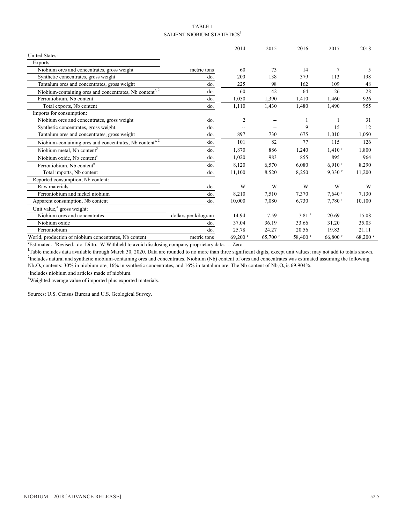# TABLE 1 SALIENT NIOBIUM STATISTICS $^1$

|                                                          |                      | 2014                  | 2015                  | 2016                | 2017                  | 2018               |
|----------------------------------------------------------|----------------------|-----------------------|-----------------------|---------------------|-----------------------|--------------------|
| <b>United States:</b>                                    |                      |                       |                       |                     |                       |                    |
| Exports:                                                 |                      |                       |                       |                     |                       |                    |
| Niobium ores and concentrates, gross weight              | metric tons          | 60                    | 73                    | 14                  | $\overline{7}$        | 5                  |
| Synthetic concentrates, gross weight                     | do.                  | 200                   | 138                   | 379                 | 113                   | 198                |
| Tantalum ores and concentrates, gross weight             | do.                  | 225                   | 98                    | 162                 | 109                   | 48                 |
| Niobium-containing ores and concentrates, Nb contente, 2 | do.                  | 60                    | 42                    | 64                  | 26                    | 28                 |
| Ferroniobium, Nb content                                 | do.                  | 1,050                 | 1,390                 | 1,410               | 1,460                 | 926                |
| Total exports, Nb content                                | do.                  | 1,110                 | 1,430                 | 1,480               | 1,490                 | 955                |
| Imports for consumption:                                 |                      |                       |                       |                     |                       |                    |
| Niobium ores and concentrates, gross weight              | do.                  | $\overline{2}$        |                       |                     |                       | 31                 |
| Synthetic concentrates, gross weight                     | do.                  |                       |                       | 9                   | 15                    | 12                 |
| Tantalum ores and concentrates, gross weight             | do.                  | 897                   | 730                   | 675                 | 1,010                 | 1,050              |
| Niobium-containing ores and concentrates, Nb contente, 2 | do.                  | 101                   | 82                    | 77                  | 115                   | 126                |
| Niobium metal, Nb content <sup>3</sup>                   | do.                  | 1,870                 | 886                   | 1,240               | $1,410$ <sup>r</sup>  | 1,800              |
| Niobium oxide, Nb content <sup>e</sup>                   | do.                  | 1,020                 | 983                   | 855                 | 895                   | 964                |
| Ferroniobium, Nb content <sup>e</sup>                    | do.                  | 8,120                 | 6,570                 | 6,080               | $6,910$ <sup>r</sup>  | 8,290              |
| Total imports, Nb content                                | do.                  | 11,100                | 8,520                 | 8,250               | $9,330$ <sup>r</sup>  | 11,200             |
| Reported consumption, Nb content:                        |                      |                       |                       |                     |                       |                    |
| Raw materials                                            | do.                  | W                     | W                     | W                   | W                     | W                  |
| Ferroniobium and nickel niobium                          | do.                  | 8,210                 | 7,510                 | 7,370               | $7,640$ <sup>r</sup>  | 7,130              |
| Apparent consumption, Nb content                         | do.                  | 10,000                | 7,080                 | 6,730               | $7,780$ <sup>r</sup>  | 10,100             |
| Unit value, <sup>4</sup> gross weight:                   |                      |                       |                       |                     |                       |                    |
| Niobium ores and concentrates                            | dollars per kilogram | 14.94                 | 7.59                  | $7.81$ <sup>r</sup> | 20.69                 | 15.08              |
| Niobium oxide                                            | do.                  | 37.04                 | 36.19                 | 33.66               | 31.20                 | 35.03              |
| Ferroniobium                                             | do.                  | 25.78                 | 24.27                 | 20.56               | 19.83                 | 21.11              |
| World, production of niobium concentrates, Nb content    | metric tons          | $69,200$ <sup>r</sup> | $65,700$ <sup>r</sup> | 58,400 r            | $66,800$ <sup>r</sup> | $68,200$ $\degree$ |

<sup>e</sup>Estimated. <sup>r</sup>Revised. do. Ditto. W Withheld to avoid disclosing company proprietary data. -- Zero.

<sup>1</sup>Table includes data available through March 30, 2020. Data are rounded to no more than three significant digits, except unit values; may not add to totals shown. <sup>2</sup>Includes natural and synthetic niobium-containing ores and concentrates. Niobium (Nb) content of ores and concentrates was estimated assuming the following Nb<sub>2</sub>O<sub>5</sub> contents: 30% in niobium ore, 16% in synthetic concentrates, and 16% in tantalum ore. The Nb content of Nb<sub>2</sub>O<sub>5</sub> is 69.904%.

<sup>3</sup>Includes niobium and articles made of niobium.

<sup>4</sup>Weighted average value of imported plus exported materials.

Sources: U.S. Census Bureau and U.S. Geological Survey.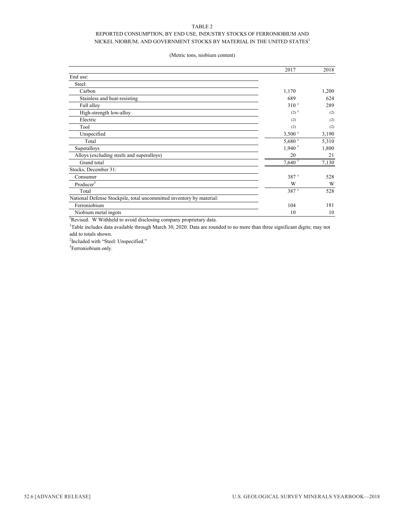## TABLE 2

# REPORTED CONSUMPTION, BY END USE, INDUSTRY STOCKS OF FERRONIOBIUM AND NICKEL NIOBIUM, AND GOVERNMENT STOCKS BY MATERIAL IN THE UNITED STATES  $^{\rm l}$

#### (Metric tons, niobium content)

|                                                                      | 2017                 | 2018  |
|----------------------------------------------------------------------|----------------------|-------|
| End use:                                                             |                      |       |
| Steel:                                                               |                      |       |
| Carbon                                                               | 1,170                | 1,200 |
| Stainless and heat-resisting                                         | 689                  | 624   |
| Full alloy                                                           | 310 <sup>r</sup>     | 289   |
| High-strength low-alloy                                              | $(2)$ <sup>r</sup>   | (2)   |
| Electric                                                             | (2)                  | (2)   |
| Tool                                                                 | (2)                  | (2)   |
| Unspecified                                                          | $3,500$ <sup>r</sup> | 3,190 |
| Total                                                                | $5,680$ <sup>r</sup> | 5,310 |
| Superalloys                                                          | $1,940$ <sup>r</sup> | 1,800 |
| Alloys (excluding steels and superalloys)                            | 20                   | 21    |
| Grand total                                                          | $7,640$ <sup>r</sup> | 7,130 |
| Stocks, December 31:                                                 |                      |       |
| Consumer                                                             | $387$ <sup>r</sup>   | 528   |
| Producer $3$                                                         | W                    | W     |
| Total                                                                | 387 r                | 528   |
| National Defense Stockpile, total uncommitted inventory by material: |                      |       |
| Ferroniobium                                                         | 104                  | 181   |
| Niobium metal ingots                                                 | 10                   | 10    |

r Revised. W Withheld to avoid disclosing company proprietary data.

<sup>1</sup>Table includes data available through March 30, 2020. Data are rounded to no more than three significant digits; may not add to totals shown.

<sup>2</sup>Included with "Steel: Unspecified."

<sup>3</sup>Ferroniobium only.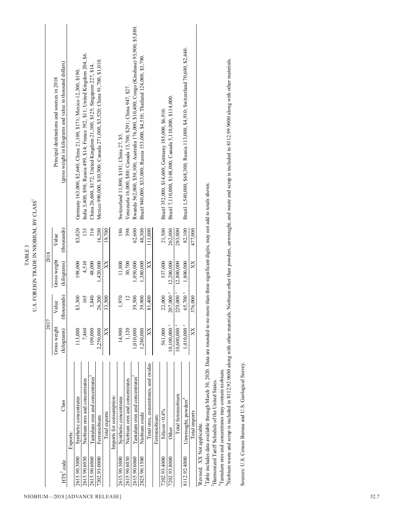|                             |                                                                              | 2017                     |                   | 2018         |             |                                                                                          |
|-----------------------------|------------------------------------------------------------------------------|--------------------------|-------------------|--------------|-------------|------------------------------------------------------------------------------------------|
|                             |                                                                              | Gross weight             | Value             | Gross weight | Value       | Principal destinations and sources in 2018                                               |
| HTS <sup>2</sup> code       | Class                                                                        | (kilograms)              | thousands)        | (kilograms)  | (thousands) | (gross weight in kilograms and value in thousand dollars)                                |
|                             | Exports:                                                                     |                          |                   |              |             |                                                                                          |
| 2615.90.3000                | Synthetic concentrates                                                       | 113,000                  | \$3,300           | 198,000      | \$3,020     | Germany 163,000, \$2,640; China 21,100, \$171; Mexico 12,300, \$190.                     |
| 2615.90.6030                | Niobium ores and concentrates                                                | 7,460                    | 165               | 4,510        | 133         | India 3,400, \$98; Russia 499, \$14; France 392, \$11; United Kingdom 204, \$6.          |
| 2615.90.6060                | Tantalum ores and concentrates                                               | 109,000                  | 3,840             | 48,000       | 316         | China 26,600, \$172; United Kingdom 21,100, \$125; Singapore 227, \$14.                  |
| 7202.93.0000                | Ferroniobium                                                                 | 2,250,000                | 26,200            | 1,420,000    | 16,200      | Mexico 990,000, \$10,900; Canada 271,000, \$3,520; China 91,700, \$1,010.                |
|                             | Total exports                                                                | $\boxtimes$              | 33,500            | $\mathbb{X}$ | 19,700      |                                                                                          |
|                             | Imports for consumption:                                                     |                          |                   |              |             |                                                                                          |
| 2615.90.3000                | Synthetic concentrates                                                       | 14,900                   | 1,970             | 11,800       | 186         | Switzerland 11,800, \$181; China 27, \$5.                                                |
| 2615.90.6030                | Niobium ores and concentrates                                                | 1,120                    | $\overline{12}$   | 30,700       | 398         | Venezuela 16,000, \$80; Canada 13,700, \$291; China 947, \$27.                           |
| 2615.90.6060                | Tantalum ores and concentrates                                               | 1,010,000                | 39,500            | 1,050,000    | 62,600      | Rwanda 562,000, \$30,100; Australia 176,000, \$10,400; Congo (Kinshasa) 93,900, \$5,880. |
| 2825.90.1500                | Niobium oxide                                                                | 1,280,000                | 39.900            | 1,380,000    | 48.300      | Brazil 940,00, \$33,000; Russia 153,000, \$4,510; Thailand 124,000, \$3,790.             |
|                             | Total ores, concentrates, and oxides                                         | $\boxtimes$              | 81.400            | $\boxtimes$  | 111,000     |                                                                                          |
|                             | Ferroniobium:                                                                |                          |                   |              |             |                                                                                          |
| 7202.93.4000                | Silicon < $0.4\%$                                                            | 561,000                  | 22,000            | 537,000      | 21,500      | Brazil 352,000, \$14,600; Germany 185,000, \$6,910                                       |
| 7202.93.8000                | Other                                                                        | 10,100,000 $^{1}$        | 207,000'          | 12,200,000   | 262,000     | Brazil 7,110,000, \$148,000; Canada 5,110,000, \$114,000.                                |
|                             | Total ferroniobium                                                           | 10,600,000 $^{\circ}$    | 229,000 r         | 12,800,000   | 283,000     |                                                                                          |
| 8112.92.4000                | Unwrought, powders <sup>4</sup>                                              | $1,410,000$ <sup>r</sup> | 65,700 $^{\rm r}$ | 1,800,000    | 82,100      | Brazil 1,540,000, \$68,300; Russia 113,000, \$4,910; Switzerland 70,600, \$2,640.        |
|                             | Total imports                                                                | X                        | 376,000           | X            | 477,000     |                                                                                          |
| Revised. XX Not applicable. |                                                                              |                          |                   |              |             |                                                                                          |
|                             | Table includes data available through March 30, 2020. Data are rounded to no |                          |                   |              |             | more than three significant digits; may not add to totals shown.                         |
|                             | <sup>2</sup> Harmonized Tariff Schedule of the United States.                |                          |                   |              |             |                                                                                          |
|                             | $\frac{3}{2}$ antalum ores and concentrates may contain niobium.             |                          |                   |              |             |                                                                                          |

3Tantalum ores and concentrates may contain niobium.

Niobium waste and scrap is included in 8112.92.0600 along with other materials. Niobium other than powders, unwrought, and waste and scrap is included in 8112.99.9000 along with other materials. 4Niobium waste and scrap is included in 8112.92.0600 along with other materials. Niobium other than powders, unwrought, and waste and scrap is included in 8112.99.9000 along with other materials.

Sources: U.S. Census Bureau and U.S. Geological Survey. Sources: U.S. Census Bureau and U.S. Geological Survey.

TABLE 3 U.S. FOREIGN TRADE IN NIOBIUM, BY CLASS<sup>1</sup>

U.S. FOREIGN TRADE IN NIOBIUM, BY CLASS  $^{\rm l}$ TABLE 3